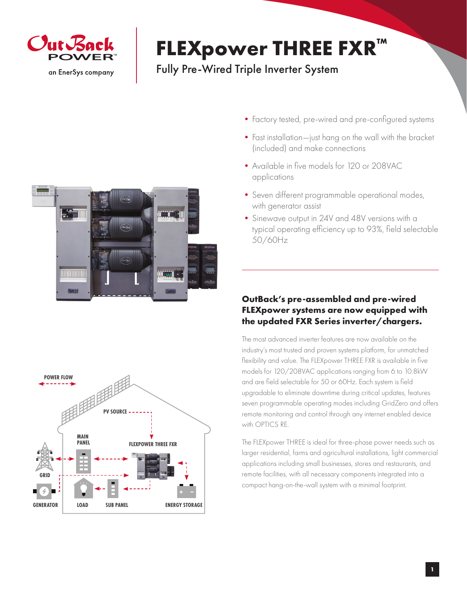

## **FLEXpower THREE FXR™**

Fully Pre-Wired Triple Inverter System



- •Factory tested, pre-wired and pre-configured systems
- Fast installation—just hang on the wall with the bracket (included) and make connections
- Available in five models for 120 or 208VAC applications
- Seven different programmable operational modes, with generator assist
- •Sinewave output in 24V and 48V versions with a typical operating efficiency up to 93%, field selectable 50/60Hz

## **OutBack's pre-assembled and pre-wired FLEXpower systems are now equipped with the updated FXR Series inverter/chargers.**

The most advanced inverter features are now available on the industry's most trusted and proven systems platform, for unmatched flexibility and value. The FLEXpower THREE FXR is available in five models for 120/208VAC applications ranging from 6 to 10.8kW and are field selectable for 50 or 60Hz. Each system is field upgradable to eliminate downtime during critical updates, features seven programmable operating modes including GridZero and offers remote monitoring and control through any internet enabled device with OPTICS RE.

The FLEXpower THREE is ideal for three-phase power needs such as larger residential, farms and agricultural installations, light commercial applications including small businesses, stores and restaurants, and remote facilities, with all necessary components integrated into a compact hang-on-the-wall system with a minimal footprint.